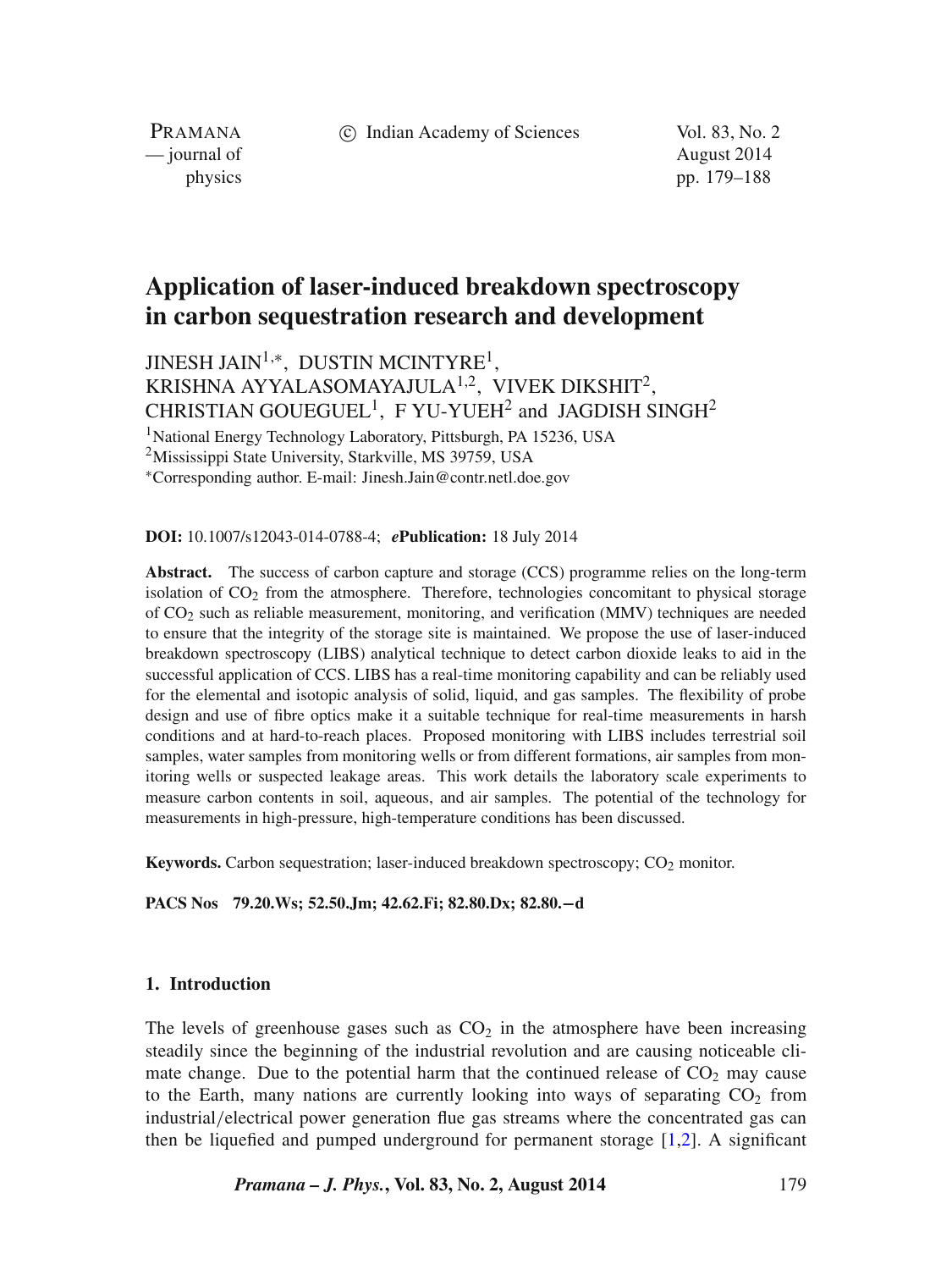c Indian Academy of Sciences Vol. 83, No. 2

PRAMANA<br>
— journal of

August 2014 physics pp. 179–188

# **Application of laser-induced breakdown spectroscopy in carbon sequestration research and development**

JINESH JAIN1,∗, DUSTIN MCINTYRE1,

KRISHNA AYYALASOMAYAJULA<sup>1,2</sup>, VIVEK DIKSHIT<sup>2</sup>. CHRISTIAN GOUEGUEL<sup>1</sup>, F YU-YUEH<sup>2</sup> and JAGDISH SINGH<sup>2</sup>

1National Energy Technology Laboratory, Pittsburgh, PA 15236, USA

2Mississippi State University, Starkville, MS 39759, USA

∗Corresponding author. E-mail: Jinesh.Jain@contr.netl.doe.gov

**DOI:** 10.1007/s12043-014-0788-4; *e***Publication:** 18 July 2014

**Abstract.** The success of carbon capture and storage (CCS) programme relies on the long-term isolation of  $CO<sub>2</sub>$  from the atmosphere. Therefore, technologies concomitant to physical storage of CO2 such as reliable measurement, monitoring, and verification (MMV) techniques are needed to ensure that the integrity of the storage site is maintained. We propose the use of laser-induced breakdown spectroscopy (LIBS) analytical technique to detect carbon dioxide leaks to aid in the successful application of CCS. LIBS has a real-time monitoring capability and can be reliably used for the elemental and isotopic analysis of solid, liquid, and gas samples. The flexibility of probe design and use of fibre optics make it a suitable technique for real-time measurements in harsh conditions and at hard-to-reach places. Proposed monitoring with LIBS includes terrestrial soil samples, water samples from monitoring wells or from different formations, air samples from monitoring wells or suspected leakage areas. This work details the laboratory scale experiments to measure carbon contents in soil, aqueous, and air samples. The potential of the technology for measurements in high-pressure, high-temperature conditions has been discussed.

**Keywords.** Carbon sequestration; laser-induced breakdown spectroscopy; CO<sub>2</sub> monitor.

**PACS Nos 79.20.Ws; 52.50.Jm; 42.62.Fi; 82.80.Dx; 82.80.−d**

#### **1. Introduction**

The levels of greenhouse gases such as  $CO<sub>2</sub>$  in the atmosphere have been increasing steadily since the beginning of the industrial revolution and are causing noticeable climate change. Due to the potential harm that the continued release of  $CO<sub>2</sub>$  may cause to the Earth, many nations are currently looking into ways of separating  $CO<sub>2</sub>$  from industrial*/*electrical power generation flue gas streams where the concentrated gas can then be liquefied and pumped underground for permanent storage [\[1,](#page-8-0)[2\]](#page-8-1). A significant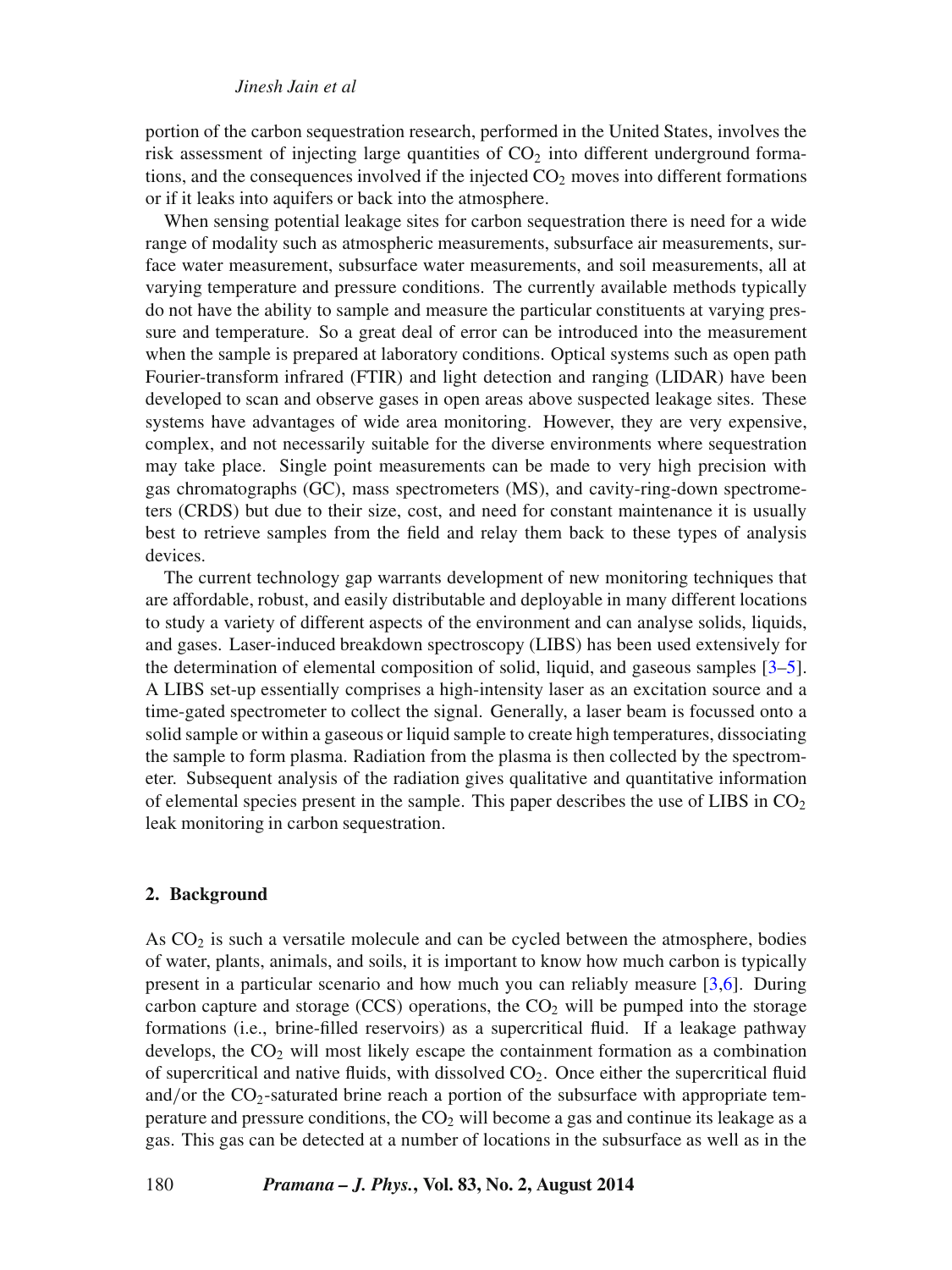### *Jinesh Jain et al*

portion of the carbon sequestration research, performed in the United States, involves the risk assessment of injecting large quantities of  $CO<sub>2</sub>$  into different underground formations, and the consequences involved if the injected  $CO<sub>2</sub>$  moves into different formations or if it leaks into aquifers or back into the atmosphere.

When sensing potential leakage sites for carbon sequestration there is need for a wide range of modality such as atmospheric measurements, subsurface air measurements, surface water measurement, subsurface water measurements, and soil measurements, all at varying temperature and pressure conditions. The currently available methods typically do not have the ability to sample and measure the particular constituents at varying pressure and temperature. So a great deal of error can be introduced into the measurement when the sample is prepared at laboratory conditions. Optical systems such as open path Fourier-transform infrared (FTIR) and light detection and ranging (LIDAR) have been developed to scan and observe gases in open areas above suspected leakage sites. These systems have advantages of wide area monitoring. However, they are very expensive, complex, and not necessarily suitable for the diverse environments where sequestration may take place. Single point measurements can be made to very high precision with gas chromatographs (GC), mass spectrometers (MS), and cavity-ring-down spectrometers (CRDS) but due to their size, cost, and need for constant maintenance it is usually best to retrieve samples from the field and relay them back to these types of analysis devices.

The current technology gap warrants development of new monitoring techniques that are affordable, robust, and easily distributable and deployable in many different locations to study a variety of different aspects of the environment and can analyse solids, liquids, and gases. Laser-induced breakdown spectroscopy (LIBS) has been used extensively for the determination of elemental composition of solid, liquid, and gaseous samples [\[3–](#page-8-2)[5\]](#page-8-3). A LIBS set-up essentially comprises a high-intensity laser as an excitation source and a time-gated spectrometer to collect the signal. Generally, a laser beam is focussed onto a solid sample or within a gaseous or liquid sample to create high temperatures, dissociating the sample to form plasma. Radiation from the plasma is then collected by the spectrometer. Subsequent analysis of the radiation gives qualitative and quantitative information of elemental species present in the sample. This paper describes the use of LIBS in  $CO<sub>2</sub>$ leak monitoring in carbon sequestration.

# **2. Background**

As  $CO<sub>2</sub>$  is such a versatile molecule and can be cycled between the atmosphere, bodies of water, plants, animals, and soils, it is important to know how much carbon is typically present in a particular scenario and how much you can reliably measure [\[3,](#page-8-2)[6\]](#page-8-4). During carbon capture and storage (CCS) operations, the  $CO<sub>2</sub>$  will be pumped into the storage formations (i.e., brine-filled reservoirs) as a supercritical fluid. If a leakage pathway develops, the  $CO<sub>2</sub>$  will most likely escape the containment formation as a combination of supercritical and native fluids, with dissolved CO2. Once either the supercritical fluid and/or the CO<sub>2</sub>-saturated brine reach a portion of the subsurface with appropriate temperature and pressure conditions, the  $CO<sub>2</sub>$  will become a gas and continue its leakage as a gas. This gas can be detected at a number of locations in the subsurface as well as in the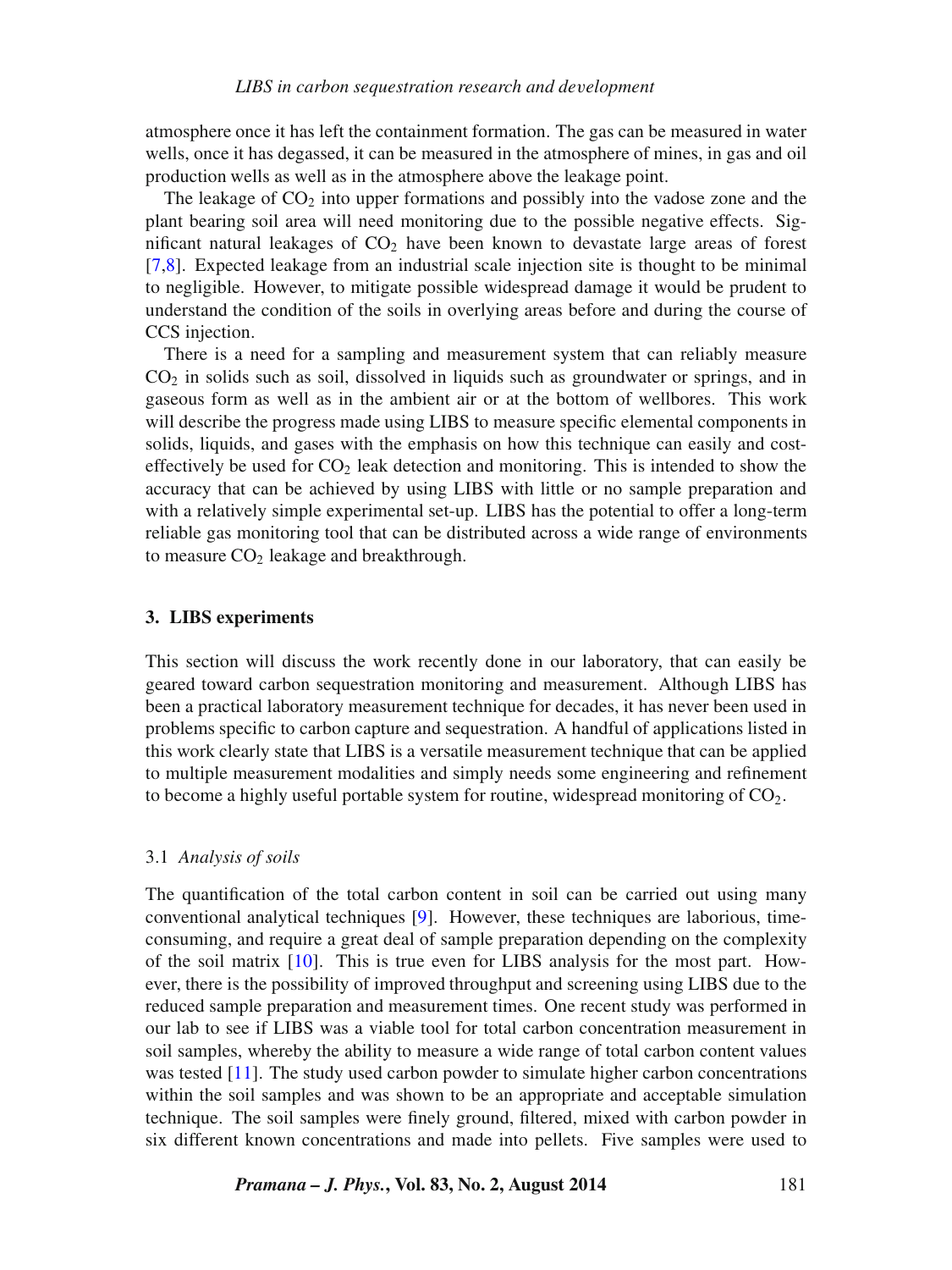atmosphere once it has left the containment formation. The gas can be measured in water wells, once it has degassed, it can be measured in the atmosphere of mines, in gas and oil production wells as well as in the atmosphere above the leakage point.

The leakage of  $CO<sub>2</sub>$  into upper formations and possibly into the vadose zone and the plant bearing soil area will need monitoring due to the possible negative effects. Significant natural leakages of  $CO<sub>2</sub>$  have been known to devastate large areas of forest [\[7](#page-8-5)[,8\]](#page-8-6). Expected leakage from an industrial scale injection site is thought to be minimal to negligible. However, to mitigate possible widespread damage it would be prudent to understand the condition of the soils in overlying areas before and during the course of CCS injection.

There is a need for a sampling and measurement system that can reliably measure  $CO<sub>2</sub>$  in solids such as soil, dissolved in liquids such as groundwater or springs, and in gaseous form as well as in the ambient air or at the bottom of wellbores. This work will describe the progress made using LIBS to measure specific elemental components in solids, liquids, and gases with the emphasis on how this technique can easily and costeffectively be used for  $CO<sub>2</sub>$  leak detection and monitoring. This is intended to show the accuracy that can be achieved by using LIBS with little or no sample preparation and with a relatively simple experimental set-up. LIBS has the potential to offer a long-term reliable gas monitoring tool that can be distributed across a wide range of environments to measure  $CO<sub>2</sub>$  leakage and breakthrough.

#### **3. LIBS experiments**

This section will discuss the work recently done in our laboratory, that can easily be geared toward carbon sequestration monitoring and measurement. Although LIBS has been a practical laboratory measurement technique for decades, it has never been used in problems specific to carbon capture and sequestration. A handful of applications listed in this work clearly state that LIBS is a versatile measurement technique that can be applied to multiple measurement modalities and simply needs some engineering and refinement to become a highly useful portable system for routine, widespread monitoring of  $CO<sub>2</sub>$ .

### 3.1 *Analysis of soils*

The quantification of the total carbon content in soil can be carried out using many conventional analytical techniques [\[9\]](#page-8-7). However, these techniques are laborious, timeconsuming, and require a great deal of sample preparation depending on the complexity of the soil matrix [\[10\]](#page-8-8). This is true even for LIBS analysis for the most part. However, there is the possibility of improved throughput and screening using LIBS due to the reduced sample preparation and measurement times. One recent study was performed in our lab to see if LIBS was a viable tool for total carbon concentration measurement in soil samples, whereby the ability to measure a wide range of total carbon content values was tested [\[11\]](#page-8-9). The study used carbon powder to simulate higher carbon concentrations within the soil samples and was shown to be an appropriate and acceptable simulation technique. The soil samples were finely ground, filtered, mixed with carbon powder in six different known concentrations and made into pellets. Five samples were used to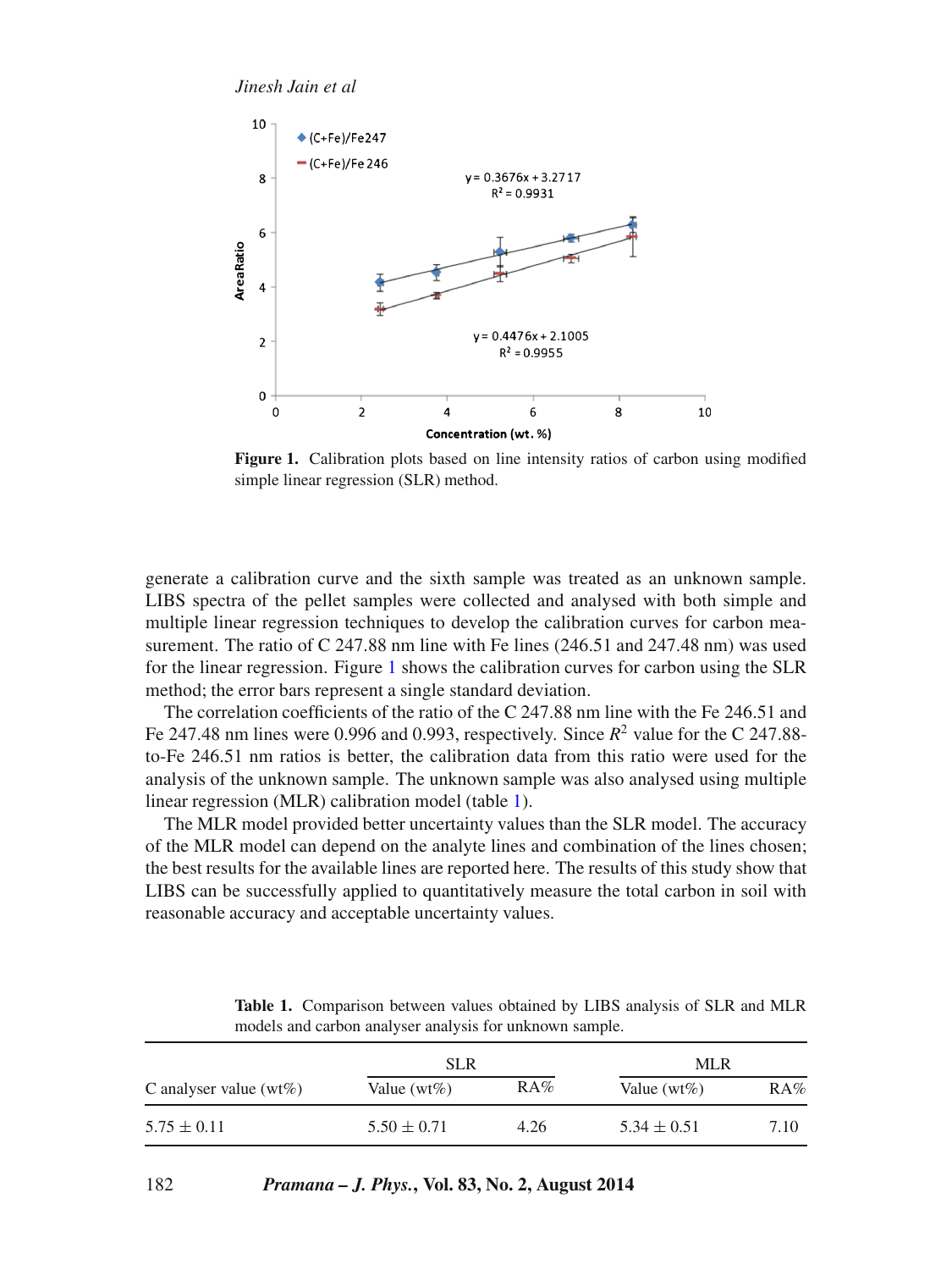*Jinesh Jain et al*

<span id="page-3-0"></span>

**Figure 1.** Calibration plots based on line intensity ratios of carbon using modified simple linear regression (SLR) method.

generate a calibration curve and the sixth sample was treated as an unknown sample. LIBS spectra of the pellet samples were collected and analysed with both simple and multiple linear regression techniques to develop the calibration curves for carbon measurement. The ratio of C 247.88 nm line with Fe lines (246.51 and 247.48 nm) was used for the linear regression. Figure [1](#page-3-0) shows the calibration curves for carbon using the SLR method; the error bars represent a single standard deviation.

The correlation coefficients of the ratio of the C 247.88 nm line with the Fe 246.51 and Fe 247.48 nm lines were 0.996 and 0.993, respectively. Since  $R^2$  value for the C 247.88to-Fe 246.51 nm ratios is better, the calibration data from this ratio were used for the analysis of the unknown sample. The unknown sample was also analysed using multiple linear regression (MLR) calibration model (table [1\)](#page-3-1).

The MLR model provided better uncertainty values than the SLR model. The accuracy of the MLR model can depend on the analyte lines and combination of the lines chosen; the best results for the available lines are reported here. The results of this study show that LIBS can be successfully applied to quantitatively measure the total carbon in soil with reasonable accuracy and acceptable uncertainty values.

<span id="page-3-1"></span>

| C analyser value ( $wt\%$ ) | <b>SLR</b>      |      | MLR             |      |
|-----------------------------|-----------------|------|-----------------|------|
|                             | Value $(wt\%)$  | RA%  | Value $(wt\%)$  | RA%  |
| $5.75 \pm 0.11$             | $5.50 \pm 0.71$ | 4.26 | $5.34 \pm 0.51$ | 7.10 |

**Table 1.** Comparison between values obtained by LIBS analysis of SLR and MLR models and carbon analyser analysis for unknown sample.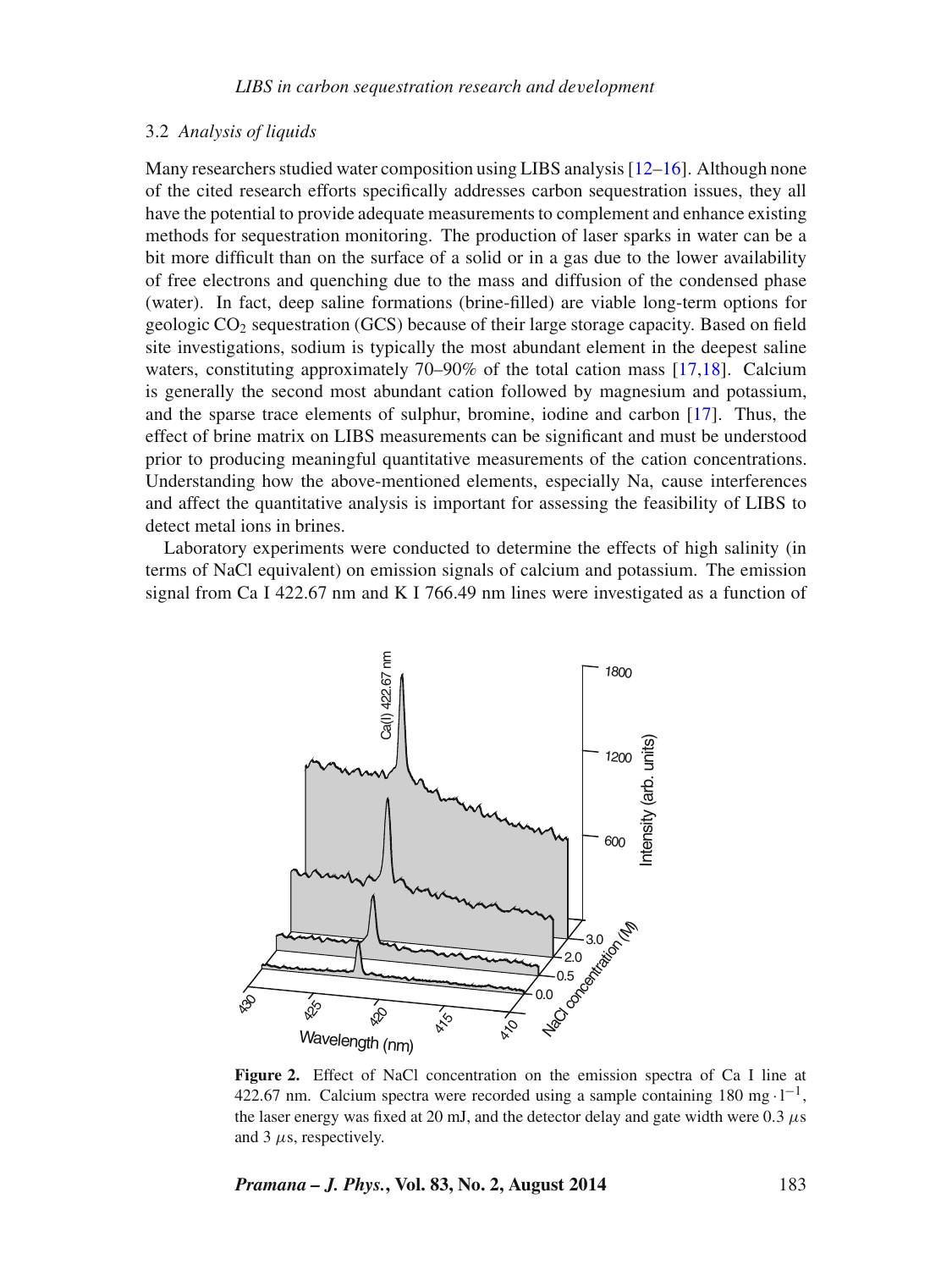#### 3.2 *Analysis of liquids*

Many researchers studied water composition using LIBS analysis [\[12–](#page-8-10)[16\]](#page-8-11). Although none of the cited research efforts specifically addresses carbon sequestration issues, they all have the potential to provide adequate measurements to complement and enhance existing methods for sequestration monitoring. The production of laser sparks in water can be a bit more difficult than on the surface of a solid or in a gas due to the lower availability of free electrons and quenching due to the mass and diffusion of the condensed phase (water). In fact, deep saline formations (brine-filled) are viable long-term options for geologic  $CO<sub>2</sub>$  sequestration (GCS) because of their large storage capacity. Based on field site investigations, sodium is typically the most abundant element in the deepest saline waters, constituting approximately 70–90% of the total cation mass [\[17,](#page-8-12)[18\]](#page-8-13). Calcium is generally the second most abundant cation followed by magnesium and potassium, and the sparse trace elements of sulphur, bromine, iodine and carbon [\[17\]](#page-8-12). Thus, the effect of brine matrix on LIBS measurements can be significant and must be understood prior to producing meaningful quantitative measurements of the cation concentrations. Understanding how the above-mentioned elements, especially Na, cause interferences and affect the quantitative analysis is important for assessing the feasibility of LIBS to detect metal ions in brines.

Laboratory experiments were conducted to determine the effects of high salinity (in terms of NaCl equivalent) on emission signals of calcium and potassium. The emission signal from Ca I 422.67 nm and K I 766.49 nm lines were investigated as a function of

<span id="page-4-0"></span>

**Figure 2.** Effect of NaCl concentration on the emission spectra of Ca I line at 422.67 nm. Calcium spectra were recorded using a sample containing 180 mg $\cdot$ 1<sup>-1</sup>, the laser energy was fixed at 20 mJ, and the detector delay and gate width were  $0.3 \mu s$ and 3 *µ*s, respectively.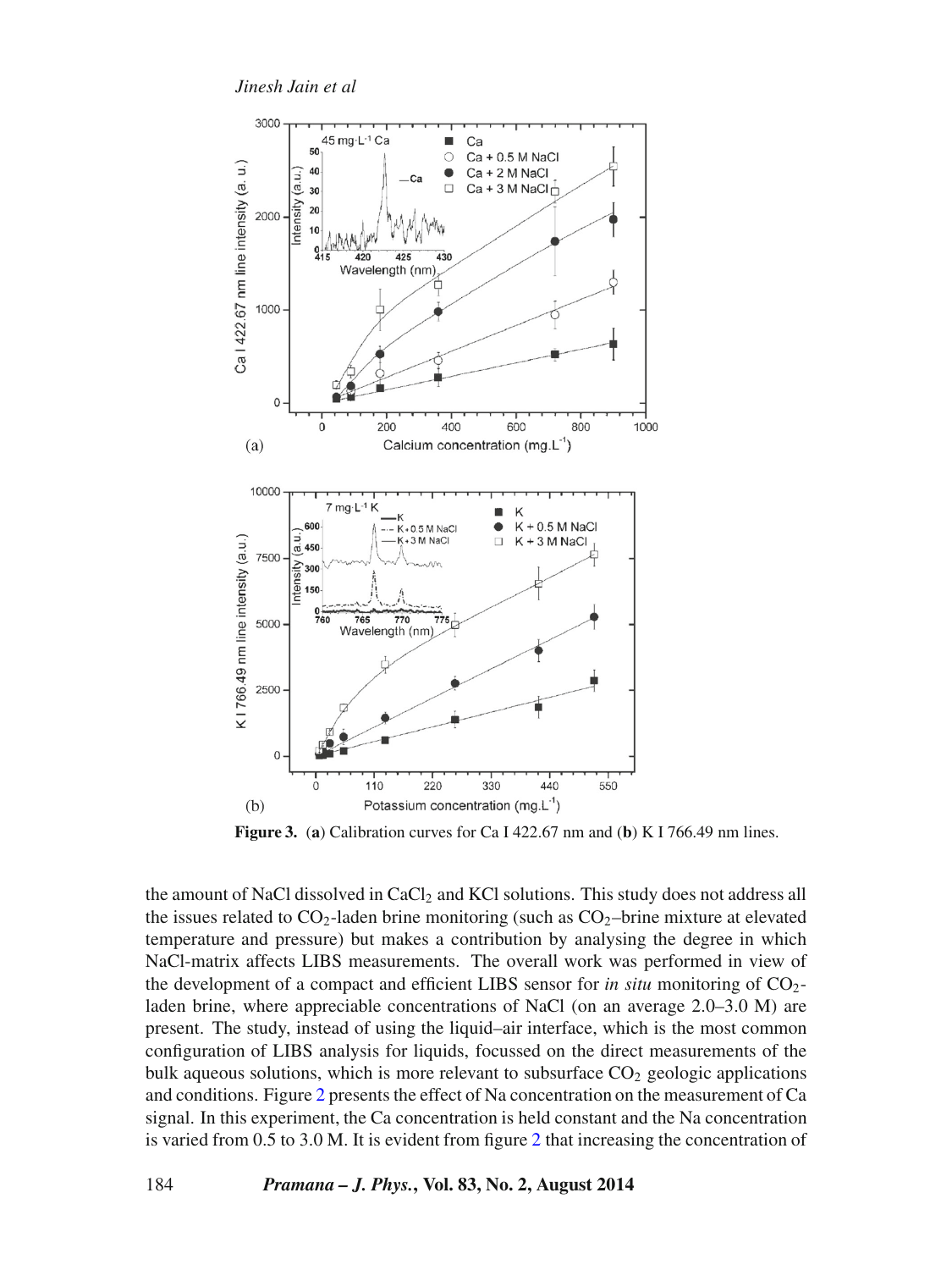*Jinesh Jain et al*

<span id="page-5-0"></span>

**Figure 3.** (**a**) Calibration curves for Ca I 422.67 nm and (**b**) K I 766.49 nm lines.

the amount of NaCl dissolved in CaCl<sub>2</sub> and KCl solutions. This study does not address all the issues related to  $CO_2$ -laden brine monitoring (such as  $CO_2$ -brine mixture at elevated temperature and pressure) but makes a contribution by analysing the degree in which NaCl-matrix affects LIBS measurements. The overall work was performed in view of the development of a compact and efficient LIBS sensor for *in situ* monitoring of CO<sub>2</sub>laden brine, where appreciable concentrations of NaCl (on an average 2.0–3.0 M) are present. The study, instead of using the liquid–air interface, which is the most common configuration of LIBS analysis for liquids, focussed on the direct measurements of the bulk aqueous solutions, which is more relevant to subsurface  $CO<sub>2</sub>$  geologic applications and conditions. Figure [2](#page-4-0) presents the effect of Na concentration on the measurement of Ca signal. In this experiment, the Ca concentration is held constant and the Na concentration is varied from 0.5 to 3.0 M. It is evident from figure [2](#page-4-0) that increasing the concentration of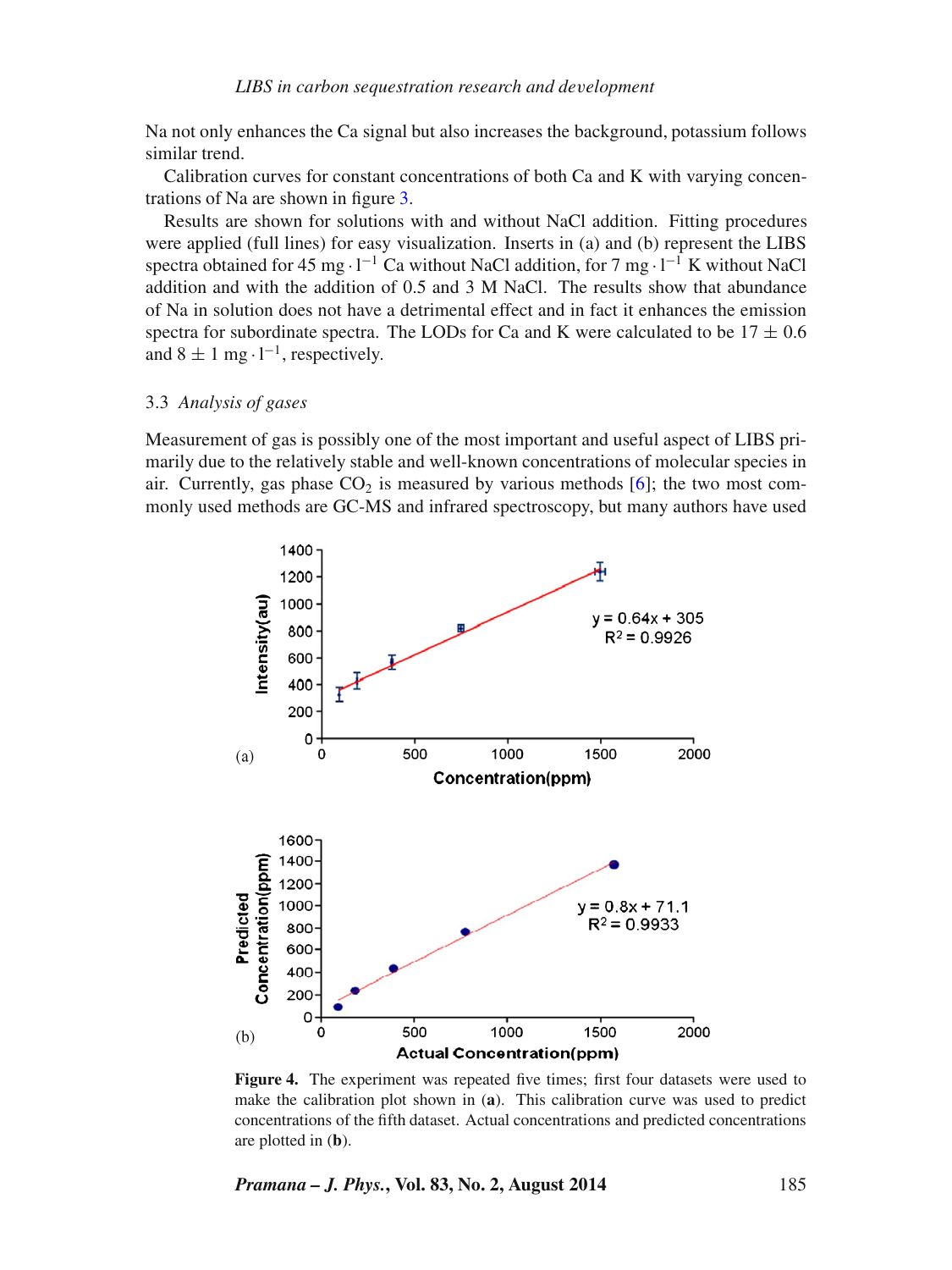#### *LIBS in carbon sequestration research and development*

Na not only enhances the Ca signal but also increases the background, potassium follows similar trend.

Calibration curves for constant concentrations of both Ca and K with varying concentrations of Na are shown in figure [3.](#page-5-0)

Results are shown for solutions with and without NaCl addition. Fitting procedures were applied (full lines) for easy visualization. Inserts in (a) and (b) represent the LIBS spectra obtained for 45 mg ·  $l^{-1}$  Ca without NaCl addition, for 7 mg ·  $l^{-1}$  K without NaCl addition and with the addition of 0.5 and 3 M NaCl. The results show that abundance of Na in solution does not have a detrimental effect and in fact it enhances the emission spectra for subordinate spectra. The LODs for Ca and K were calculated to be  $17 \pm 0.6$ and  $8 \pm 1$  mg  $\cdot 1^{-1}$ , respectively.

#### 3.3 *Analysis of gases*

Measurement of gas is possibly one of the most important and useful aspect of LIBS primarily due to the relatively stable and well-known concentrations of molecular species in air. Currently, gas phase  $CO<sub>2</sub>$  is measured by various methods [\[6\]](#page-8-4); the two most commonly used methods are GC-MS and infrared spectroscopy, but many authors have used

<span id="page-6-0"></span>

**Figure 4.** The experiment was repeated five times; first four datasets were used to make the calibration plot shown in (**a**). This calibration curve was used to predict concentrations of the fifth dataset. Actual concentrations and predicted concentrations are plotted in (**b**).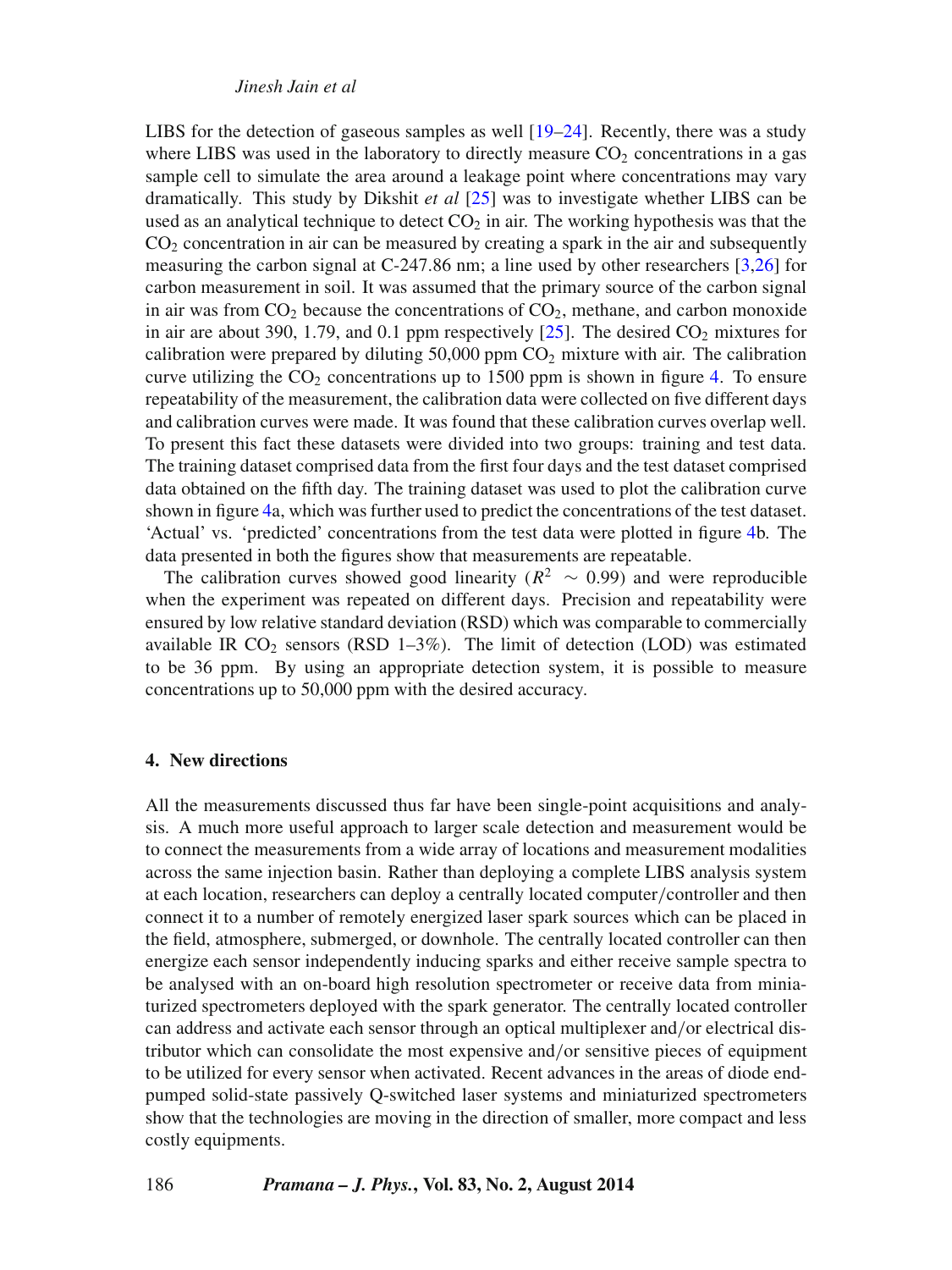*Jinesh Jain et al*

LIBS for the detection of gaseous samples as well [\[19–](#page-9-0)[24\]](#page-9-1). Recently, there was a study where LIBS was used in the laboratory to directly measure  $CO<sub>2</sub>$  concentrations in a gas sample cell to simulate the area around a leakage point where concentrations may vary dramatically. This study by Dikshit *et al* [\[25\]](#page-9-2) was to investigate whether LIBS can be used as an analytical technique to detect  $CO<sub>2</sub>$  in air. The working hypothesis was that the  $CO<sub>2</sub>$  concentration in air can be measured by creating a spark in the air and subsequently measuring the carbon signal at C-247.86 nm; a line used by other researchers [\[3,](#page-8-2)[26\]](#page-9-3) for carbon measurement in soil. It was assumed that the primary source of the carbon signal in air was from  $CO<sub>2</sub>$  because the concentrations of  $CO<sub>2</sub>$ , methane, and carbon monoxide in air are about 390, 1.79, and 0.1 ppm respectively  $[25]$ . The desired CO<sub>2</sub> mixtures for calibration were prepared by diluting  $50,000$  ppm  $CO<sub>2</sub>$  mixture with air. The calibration curve utilizing the  $CO<sub>2</sub>$  concentrations up to 1500 ppm is shown in figure [4.](#page-6-0) To ensure repeatability of the measurement, the calibration data were collected on five different days and calibration curves were made. It was found that these calibration curves overlap well. To present this fact these datasets were divided into two groups: training and test data. The training dataset comprised data from the first four days and the test dataset comprised data obtained on the fifth day. The training dataset was used to plot the calibration curve shown in figure [4a](#page-6-0), which was further used to predict the concentrations of the test dataset. 'Actual' vs. 'predicted' concentrations from the test data were plotted in figure [4b](#page-6-0). The data presented in both the figures show that measurements are repeatable.

The calibration curves showed good linearity ( $R^2 \sim 0.99$ ) and were reproducible when the experiment was repeated on different days. Precision and repeatability were ensured by low relative standard deviation (RSD) which was comparable to commercially available IR  $CO<sub>2</sub>$  sensors (RSD 1–3%). The limit of detection (LOD) was estimated to be 36 ppm. By using an appropriate detection system, it is possible to measure concentrations up to 50,000 ppm with the desired accuracy.

#### **4. New directions**

All the measurements discussed thus far have been single-point acquisitions and analysis. A much more useful approach to larger scale detection and measurement would be to connect the measurements from a wide array of locations and measurement modalities across the same injection basin. Rather than deploying a complete LIBS analysis system at each location, researchers can deploy a centrally located computer*/*controller and then connect it to a number of remotely energized laser spark sources which can be placed in the field, atmosphere, submerged, or downhole. The centrally located controller can then energize each sensor independently inducing sparks and either receive sample spectra to be analysed with an on-board high resolution spectrometer or receive data from miniaturized spectrometers deployed with the spark generator. The centrally located controller can address and activate each sensor through an optical multiplexer and*/*or electrical distributor which can consolidate the most expensive and*/*or sensitive pieces of equipment to be utilized for every sensor when activated. Recent advances in the areas of diode endpumped solid-state passively Q-switched laser systems and miniaturized spectrometers show that the technologies are moving in the direction of smaller, more compact and less costly equipments.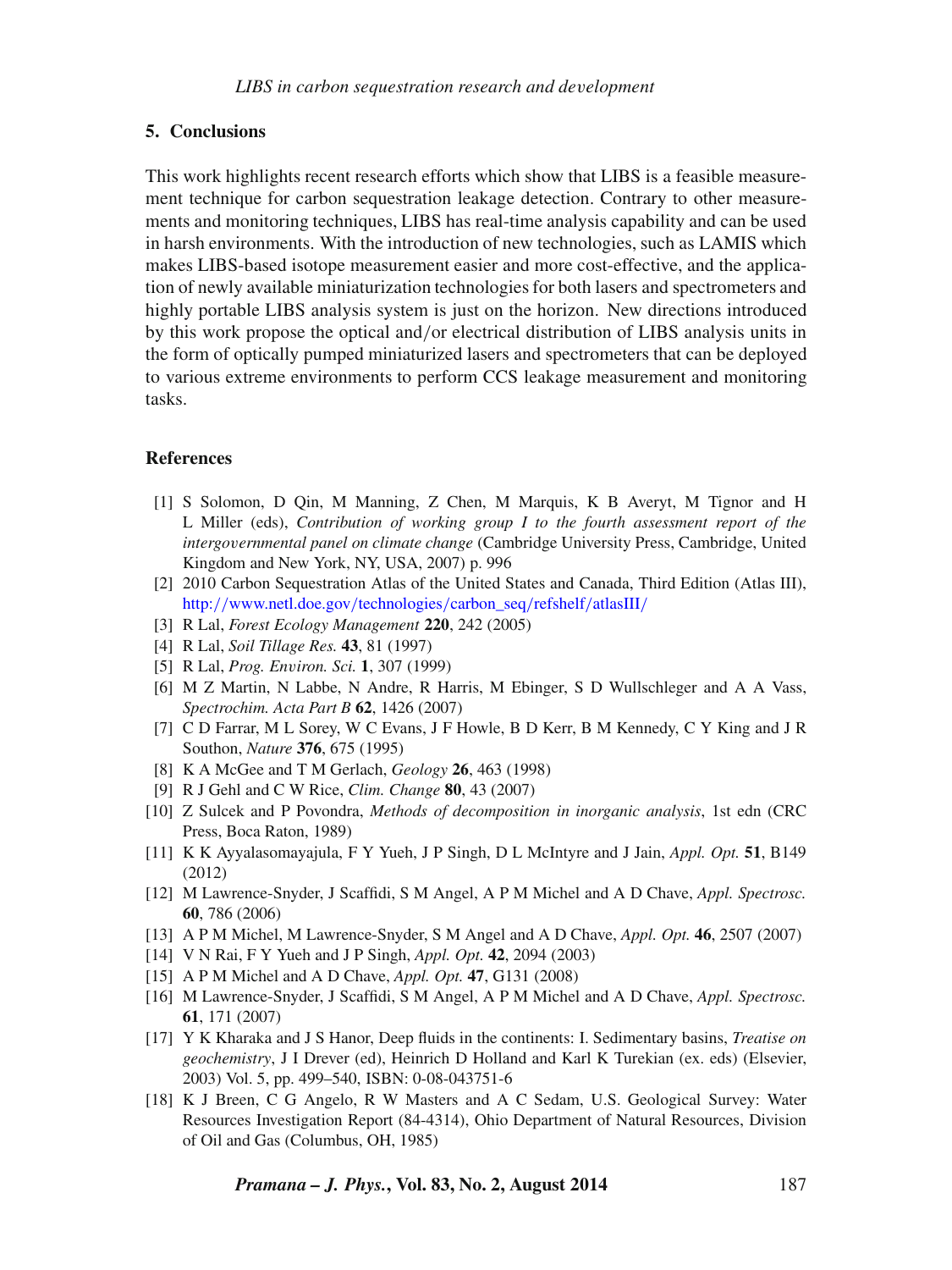## **5. Conclusions**

This work highlights recent research efforts which show that LIBS is a feasible measurement technique for carbon sequestration leakage detection. Contrary to other measurements and monitoring techniques, LIBS has real-time analysis capability and can be used in harsh environments. With the introduction of new technologies, such as LAMIS which makes LIBS-based isotope measurement easier and more cost-effective, and the application of newly available miniaturization technologies for both lasers and spectrometers and highly portable LIBS analysis system is just on the horizon. New directions introduced by this work propose the optical and*/*or electrical distribution of LIBS analysis units in the form of optically pumped miniaturized lasers and spectrometers that can be deployed to various extreme environments to perform CCS leakage measurement and monitoring tasks.

# **References**

- <span id="page-8-0"></span>[1] S Solomon, D Qin, M Manning, Z Chen, M Marquis, K B Averyt, M Tignor and H L Miller (eds), *Contribution of working group I to the fourth assessment report of the intergovernmental panel on climate change* (Cambridge University Press, Cambridge, United Kingdom and New York, NY, USA, 2007) p. 996
- <span id="page-8-1"></span>[2] 2010 Carbon Sequestration Atlas of the United States and Canada, Third Edition (Atlas III), http:*//*[www.netl.doe.gov](http://www.netl.doe.gov/technologies/carbon_seq/refshelf/atlasIII/)*/*technologies*/*carbon\_seq*/*refshelf*/*atlasIII*/*
- <span id="page-8-2"></span>[3] R Lal, *Forest Ecology Management* **220**, 242 (2005)
- [4] R Lal, *Soil Tillage Res.* **43**, 81 (1997)
- <span id="page-8-3"></span>[5] R Lal, *Prog. Environ. Sci.* **1**, 307 (1999)
- <span id="page-8-4"></span>[6] M Z Martin, N Labbe, N Andre, R Harris, M Ebinger, S D Wullschleger and A A Vass, *Spectrochim. Acta Part B* **62**, 1426 (2007)
- <span id="page-8-5"></span>[7] C D Farrar, M L Sorey, W C Evans, J F Howle, B D Kerr, B M Kennedy, C Y King and J R Southon, *Nature* **376**, 675 (1995)
- <span id="page-8-6"></span>[8] K A McGee and T M Gerlach, *Geology* **26**, 463 (1998)
- <span id="page-8-7"></span>[9] R J Gehl and C W Rice, *Clim. Change* **80**, 43 (2007)
- <span id="page-8-8"></span>[10] Z Sulcek and P Povondra, *Methods of decomposition in inorganic analysis*, 1st edn (CRC Press, Boca Raton, 1989)
- <span id="page-8-9"></span>[11] K K Ayyalasomayajula, F Y Yueh, J P Singh, D L McIntyre and J Jain, *Appl. Opt.* **51**, B149 (2012)
- <span id="page-8-10"></span>[12] M Lawrence-Snyder, J Scaffidi, S M Angel, A P M Michel and A D Chave, *Appl. Spectrosc.* **60**, 786 (2006)
- [13] A P M Michel, M Lawrence-Snyder, S M Angel and A D Chave, *Appl. Opt.* **46**, 2507 (2007)
- [14] V N Rai, F Y Yueh and J P Singh, *Appl. Opt.* **42**, 2094 (2003)
- [15] A P M Michel and A D Chave, *Appl. Opt.* **47**, G131 (2008)
- <span id="page-8-11"></span>[16] M Lawrence-Snyder, J Scaffidi, S M Angel, A P M Michel and A D Chave, *Appl. Spectrosc.* **61**, 171 (2007)
- <span id="page-8-12"></span>[17] Y K Kharaka and J S Hanor, Deep fluids in the continents: I. Sedimentary basins, *Treatise on geochemistry*, J I Drever (ed), Heinrich D Holland and Karl K Turekian (ex. eds) (Elsevier, 2003) Vol. 5, pp. 499–540, ISBN: 0-08-043751-6
- <span id="page-8-13"></span>[18] K J Breen, C G Angelo, R W Masters and A C Sedam, U.S. Geological Survey: Water Resources Investigation Report (84-4314), Ohio Department of Natural Resources, Division of Oil and Gas (Columbus, OH, 1985)